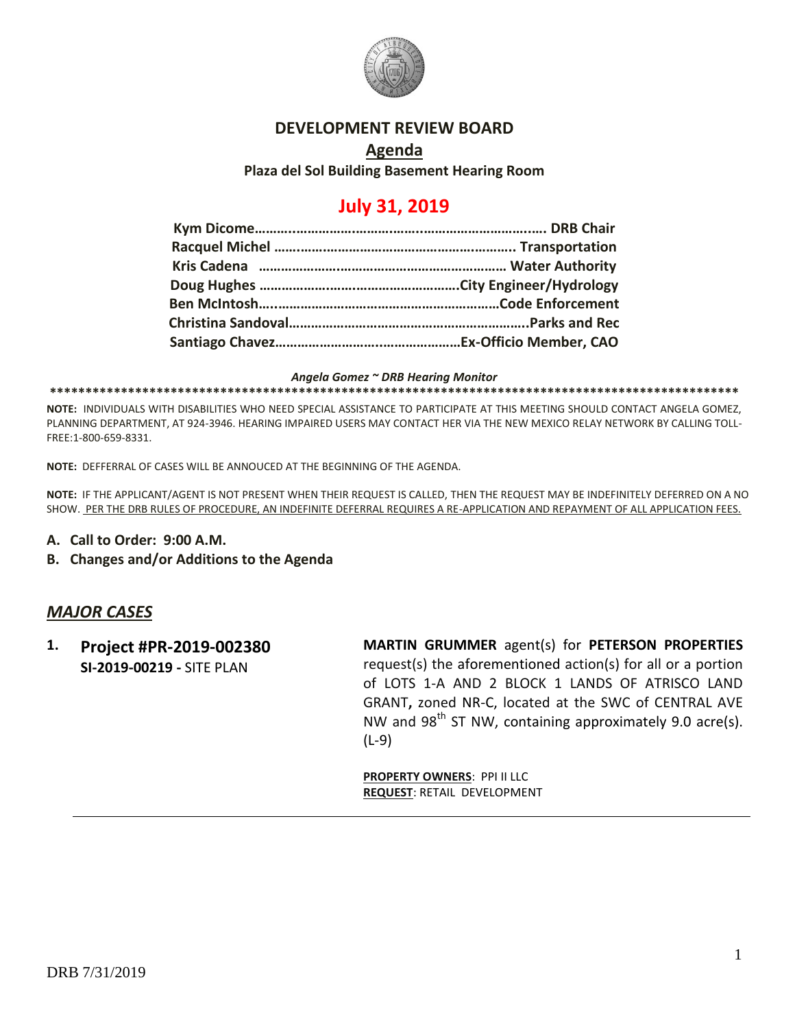

# **DEVELOPMENT REVIEW BOARD**

**Agenda Plaza del Sol Building Basement Hearing Room**

# **July 31, 2019**

*Angela Gomez ~ DRB Hearing Monitor*

**\*\*\*\*\*\*\*\*\*\*\*\*\*\*\*\*\*\*\*\*\*\*\*\*\*\*\*\*\*\*\*\*\*\*\*\*\*\*\*\*\*\*\*\*\*\*\*\*\*\*\*\*\*\*\*\*\*\*\*\*\*\*\*\*\*\*\*\*\*\*\*\*\*\*\*\*\*\*\*\*\*\*\*\*\*\*\*\*\*\*\*\*\*\*\*\*\***

**NOTE:** INDIVIDUALS WITH DISABILITIES WHO NEED SPECIAL ASSISTANCE TO PARTICIPATE AT THIS MEETING SHOULD CONTACT ANGELA GOMEZ, PLANNING DEPARTMENT, AT 924-3946. HEARING IMPAIRED USERS MAY CONTACT HER VIA THE NEW MEXICO RELAY NETWORK BY CALLING TOLL-FREE:1-800-659-8331.

**NOTE:** DEFFERRAL OF CASES WILL BE ANNOUCED AT THE BEGINNING OF THE AGENDA.

**NOTE:** IF THE APPLICANT/AGENT IS NOT PRESENT WHEN THEIR REQUEST IS CALLED, THEN THE REQUEST MAY BE INDEFINITELY DEFERRED ON A NO SHOW. PER THE DRB RULES OF PROCEDURE, AN INDEFINITE DEFERRAL REQUIRES A RE-APPLICATION AND REPAYMENT OF ALL APPLICATION FEES.

- **A. Call to Order: 9:00 A.M.**
- **B. Changes and/or Additions to the Agenda**

# *MAJOR CASES*

**1. Project #PR-2019-002380 SI-2019-00219 -** SITE PLAN

**MARTIN GRUMMER** agent(s) for **PETERSON PROPERTIES** request(s) the aforementioned action(s) for all or a portion of LOTS 1-A AND 2 BLOCK 1 LANDS OF ATRISCO LAND GRANT**,** zoned NR-C, located at the SWC of CENTRAL AVE NW and  $98<sup>th</sup>$  ST NW, containing approximately 9.0 acre(s). (L-9)

**PROPERTY OWNERS**: PPI II LLC **REQUEST**: RETAIL DEVELOPMENT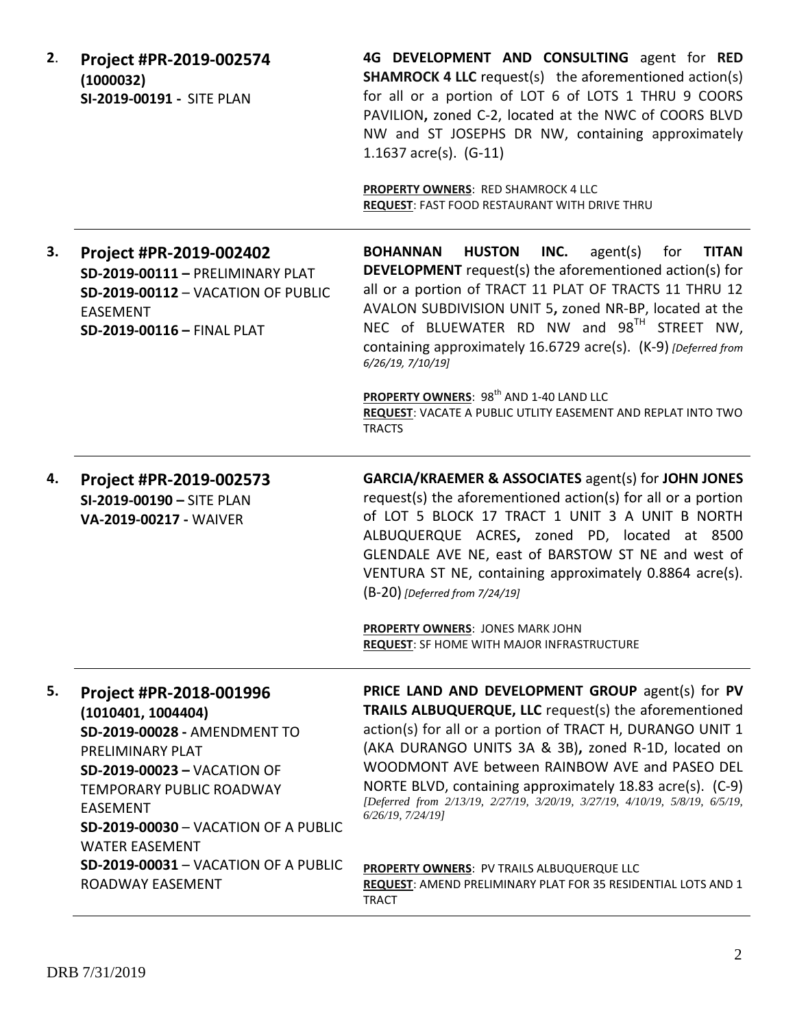| 2. | Project #PR-2019-002574<br>(1000032)<br>SI-2019-00191 - SITE PLAN                                                                                                | 4G DEVELOPMENT AND CONSULTING agent for RED<br><b>SHAMROCK 4 LLC</b> request(s) the aforementioned action(s)<br>for all or a portion of LOT 6 of LOTS 1 THRU 9 COORS<br>PAVILION, zoned C-2, located at the NWC of COORS BLVD<br>NW and ST JOSEPHS DR NW, containing approximately<br>1.1637 $\arccos 1.6 - 11$                                                                                                                                                                                                                                |
|----|------------------------------------------------------------------------------------------------------------------------------------------------------------------|------------------------------------------------------------------------------------------------------------------------------------------------------------------------------------------------------------------------------------------------------------------------------------------------------------------------------------------------------------------------------------------------------------------------------------------------------------------------------------------------------------------------------------------------|
|    |                                                                                                                                                                  | <b>PROPERTY OWNERS: RED SHAMROCK 4 LLC</b><br>REQUEST: FAST FOOD RESTAURANT WITH DRIVE THRU                                                                                                                                                                                                                                                                                                                                                                                                                                                    |
| 3. | Project #PR-2019-002402<br>SD-2019-00111 - PRELIMINARY PLAT<br>SD-2019-00112 - VACATION OF PUBLIC<br><b>EASEMENT</b><br>SD-2019-00116 - FINAL PLAT               | <b>HUSTON</b><br>INC.<br>agent(s)<br><b>TITAN</b><br><b>BOHANNAN</b><br>for<br><b>DEVELOPMENT</b> request(s) the aforementioned action(s) for<br>all or a portion of TRACT 11 PLAT OF TRACTS 11 THRU 12<br>AVALON SUBDIVISION UNIT 5, zoned NR-BP, located at the<br>NEC of BLUEWATER RD NW and 98TH STREET NW,<br>containing approximately 16.6729 acre(s). (K-9) [Deferred from<br>6/26/19, 7/10/19]<br>PROPERTY OWNERS: 98 <sup>th</sup> AND 1-40 LAND LLC<br>REQUEST: VACATE A PUBLIC UTLITY EASEMENT AND REPLAT INTO TWO<br><b>TRACTS</b> |
| 4. | Project #PR-2019-002573                                                                                                                                          | <b>GARCIA/KRAEMER &amp; ASSOCIATES agent(s) for JOHN JONES</b>                                                                                                                                                                                                                                                                                                                                                                                                                                                                                 |
|    | SI-2019-00190 - SITE PLAN<br>VA-2019-00217 - WAIVER                                                                                                              | request(s) the aforementioned action(s) for all or a portion<br>of LOT 5 BLOCK 17 TRACT 1 UNIT 3 A UNIT B NORTH<br>ALBUQUERQUE ACRES, zoned PD, located at 8500<br>GLENDALE AVE NE, east of BARSTOW ST NE and west of<br>VENTURA ST NE, containing approximately 0.8864 acre(s).<br>(B-20) [Deferred from 7/24/19]                                                                                                                                                                                                                             |
|    |                                                                                                                                                                  | <b>PROPERTY OWNERS: JONES MARK JOHN</b><br><b>REQUEST: SF HOME WITH MAJOR INFRASTRUCTURE</b>                                                                                                                                                                                                                                                                                                                                                                                                                                                   |
| 5. | Project #PR-2018-001996<br>(1010401, 1004404)                                                                                                                    | PRICE LAND AND DEVELOPMENT GROUP agent(s) for PV<br>TRAILS ALBUQUERQUE, LLC request(s) the aforementioned                                                                                                                                                                                                                                                                                                                                                                                                                                      |
|    | SD-2019-00028 - AMENDMENT TO                                                                                                                                     | action(s) for all or a portion of TRACT H, DURANGO UNIT 1                                                                                                                                                                                                                                                                                                                                                                                                                                                                                      |
|    | PRELIMINARY PLAT                                                                                                                                                 | (AKA DURANGO UNITS 3A & 3B), zoned R-1D, located on                                                                                                                                                                                                                                                                                                                                                                                                                                                                                            |
|    | <b>SD-2019-00023 - VACATION OF</b><br><b>TEMPORARY PUBLIC ROADWAY</b><br><b>EASEMENT</b><br><b>SD-2019-00030 - VACATION OF A PUBLIC</b><br><b>WATER EASEMENT</b> | WOODMONT AVE between RAINBOW AVE and PASEO DEL<br>NORTE BLVD, containing approximately 18.83 acre(s). (C-9)<br>[Deferred from 2/13/19, 2/27/19, 3/20/19, 3/27/19, 4/10/19, 5/8/19, 6/5/19,<br>6/26/19, 7/24/19                                                                                                                                                                                                                                                                                                                                 |
|    | <b>SD-2019-00031 - VACATION OF A PUBLIC</b>                                                                                                                      | <b>PROPERTY OWNERS: PV TRAILS ALBUQUERQUE LLC</b>                                                                                                                                                                                                                                                                                                                                                                                                                                                                                              |
|    | ROADWAY EASEMENT                                                                                                                                                 | REQUEST: AMEND PRELIMINARY PLAT FOR 35 RESIDENTIAL LOTS AND 1<br><b>TRACT</b>                                                                                                                                                                                                                                                                                                                                                                                                                                                                  |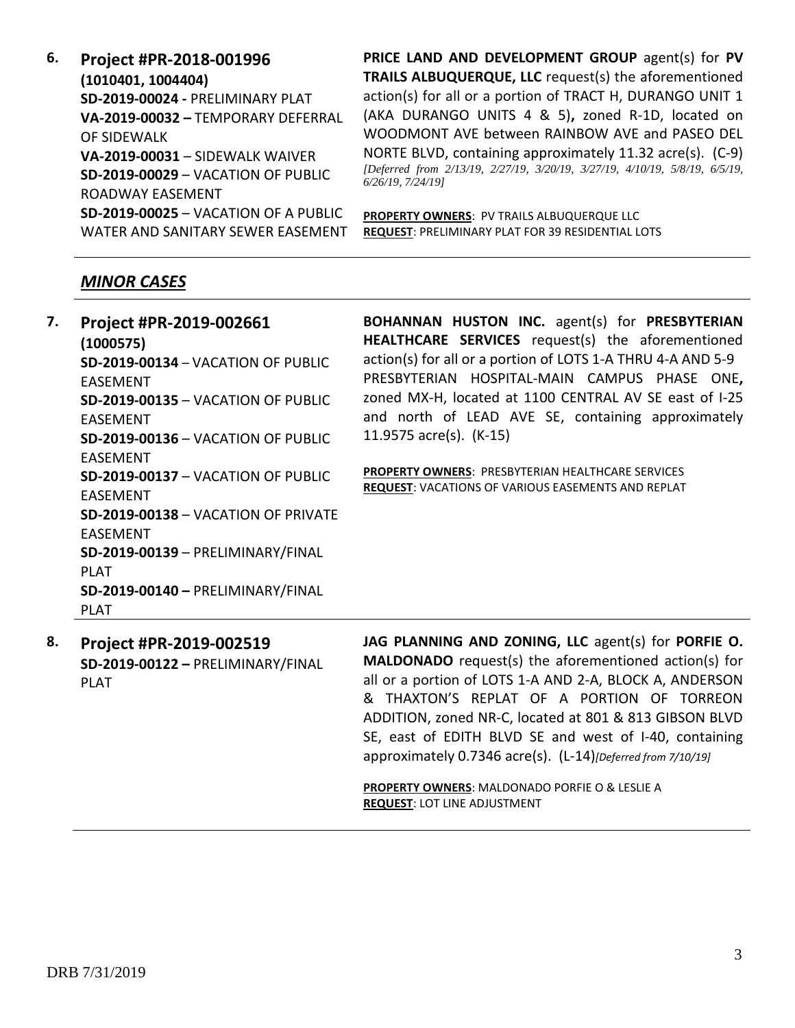**6. Project #PR-2018-001996 (1010401, 1004404) SD-2019-00024 -** PRELIMINARY PLAT **VA-2019-00032 –** TEMPORARY DEFERRAL OF SIDEWALK **VA-2019-00031** – SIDEWALK WAIVER **SD-2019-00029** – VACATION OF PUBLIC ROADWAY EASEMENT **SD-2019-00025** – VACATION OF A PUBLIC WATER AND SANITARY SEWER EASEMENT

**PRICE LAND AND DEVELOPMENT GROUP** agent(s) for **PV TRAILS ALBUQUERQUE, LLC** request(s) the aforementioned action(s) for all or a portion of TRACT H, DURANGO UNIT 1 (AKA DURANGO UNITS 4 & 5)**,** zoned R-1D, located on WOODMONT AVE between RAINBOW AVE and PASEO DEL NORTE BLVD, containing approximately 11.32 acre(s). (C-9) *[Deferred from 2/13/19, 2/27/19, 3/20/19, 3/27/19, 4/10/19, 5/8/19, 6/5/19, 6/26/19, 7/24/19]*

**PROPERTY OWNERS**: PV TRAILS ALBUQUERQUE LLC **REQUEST**: PRELIMINARY PLAT FOR 39 RESIDENTIAL LOTS

## *MINOR CASES*

**7. Project #PR-2019-002661 (1000575) SD-2019-00134** – VACATION OF PUBLIC EASEMENT **SD-2019-00135** – VACATION OF PUBLIC EASEMENT **SD-2019-00136** – VACATION OF PUBLIC EASEMENT **SD-2019-00137** – VACATION OF PUBLIC EASEMENT **SD-2019-00138** – VACATION OF PRIVATE EASEMENT **SD-2019-00139** – PRELIMINARY/FINAL PLAT **SD-2019-00140 –** PRELIMINARY/FINAL PLAT

**BOHANNAN HUSTON INC.** agent(s) for **PRESBYTERIAN HEALTHCARE SERVICES** request(s) the aforementioned action(s) for all or a portion of LOTS 1-A THRU 4-A AND 5-9 PRESBYTERIAN HOSPITAL-MAIN CAMPUS PHASE ONE**,**  zoned MX-H, located at 1100 CENTRAL AV SE east of I-25 and north of LEAD AVE SE, containing approximately 11.9575 acre(s). (K-15)

**PROPERTY OWNERS**: PRESBYTERIAN HEALTHCARE SERVICES **REQUEST**: VACATIONS OF VARIOUS EASEMENTS AND REPLAT

**8. Project #PR-2019-002519 SD-2019-00122 –** PRELIMINARY/FINAL PLAT

**JAG PLANNING AND ZONING, LLC** agent(s) for **PORFIE O. MALDONADO** request(s) the aforementioned action(s) for all or a portion of LOTS 1-A AND 2-A, BLOCK A, ANDERSON & THAXTON'S REPLAT OF A PORTION OF TORREON ADDITION, zoned NR-C, located at 801 & 813 GIBSON BLVD SE, east of EDITH BLVD SE and west of I-40, containing approximately 0.7346 acre(s). (L-14)*[Deferred from 7/10/19]*

**PROPERTY OWNERS**: MALDONADO PORFIE O & LESLIE A **REQUEST**: LOT LINE ADJUSTMENT